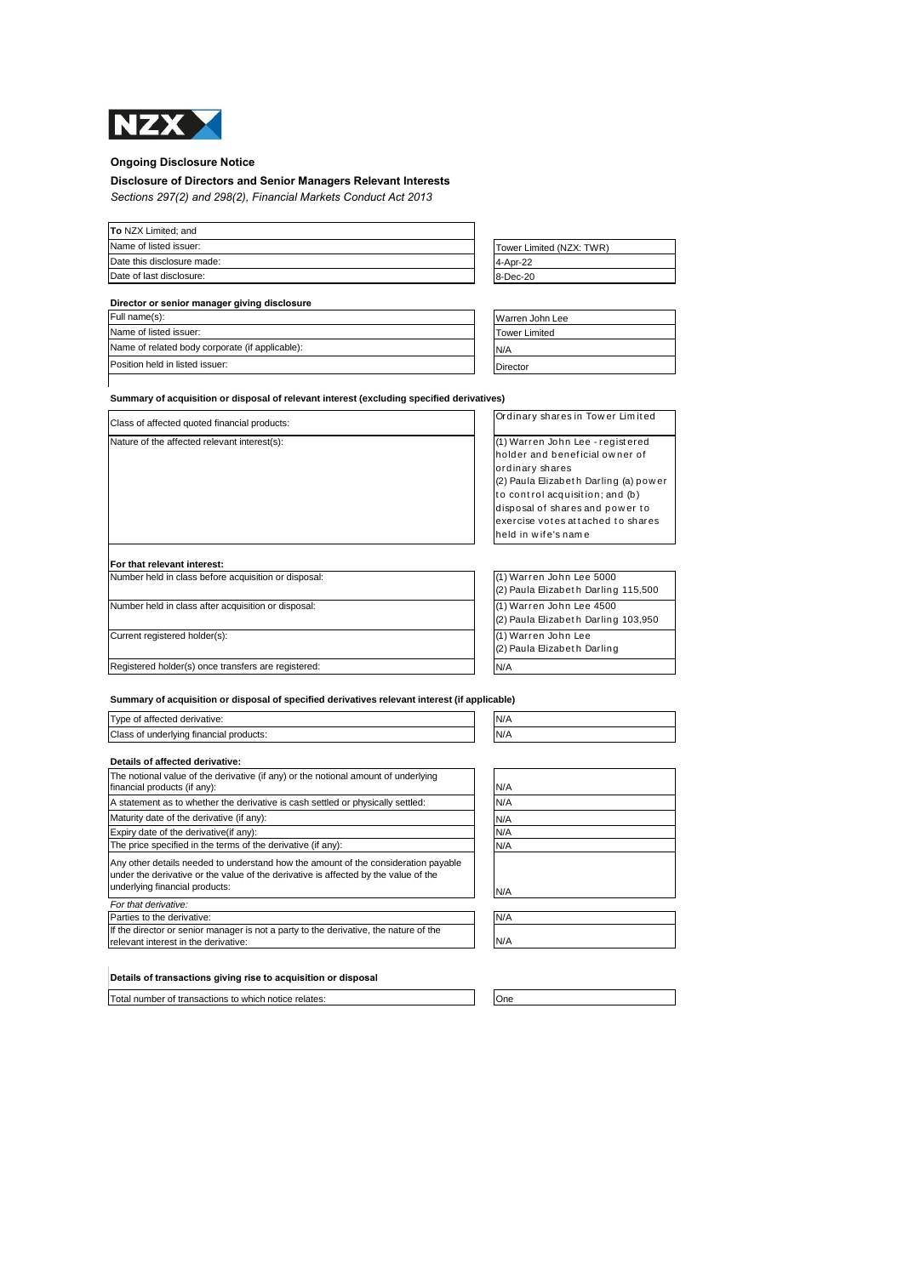

 $\mathbf{I}$ 

## **Ongoing Disclosure Notice**

# **Disclosure of Directors and Senior Managers Relevant Interests**

*Sections 297(2) and 298(2), Financial Markets Conduct Act 2013*

| To NZX Limited; and        |                          |
|----------------------------|--------------------------|
| Name of listed issuer:     | Tower Limited (NZX: TWR) |
| Date this disclosure made: | 4-Apr-22                 |
| Date of last disclosure:   | 8-Dec-20                 |

| Director or senior manager giving disclosure    |                      |
|-------------------------------------------------|----------------------|
| Full name(s):                                   | Warren John Lee      |
| Name of listed issuer:                          | <b>Tower Limited</b> |
| Name of related body corporate (if applicable): | N/A                  |
| Position held in listed issuer:                 | Director             |

**Summary of acquisition or disposal of relevant interest (excluding specified derivatives)** 

| Class of affected quoted financial products:                                                                  | Ordinary shares in Tower Limited                                                                                                                                                                                                                                 |
|---------------------------------------------------------------------------------------------------------------|------------------------------------------------------------------------------------------------------------------------------------------------------------------------------------------------------------------------------------------------------------------|
| Nature of the affected relevant interest(s):<br>For that relevant interest:                                   | (1) Warren John Lee - registered<br>holder and beneficial owner of<br>ordinary shares<br>(2) Paula Elizabeth Darling (a) power<br>to control acquisition; and (b)<br>disposal of shares and power to<br>exercise votes attached to shares<br>held in wife's name |
| Number held in class before acquisition or disposal:                                                          | (1) Warren John Lee 5000                                                                                                                                                                                                                                         |
| la e estado en el control de control de control de la control de la control de la control de la control de la | (2) Paula Elizabeth Darling 115,500                                                                                                                                                                                                                              |
|                                                                                                               | $\overline{111111}$ $\overline{11111}$ $\overline{11111}$ $\overline{11111}$                                                                                                                                                                                     |

Number held in class after acquisition or disposal:

Current registered holder(s):

Registered holder(s) once transfers are registered:

| (1) Warren John Lee 5000            |
|-------------------------------------|
| (2) Paula Elizabeth Darling 115,500 |
| (1) Warren John Lee 4500            |
| (2) Paula Elizabeth Darling 103,950 |
| (1) Warren John Lee                 |
| (2) Paula Elizabeth Darling         |
|                                     |

**Summary of acquisition or disposal of specified derivatives relevant interest (if applicable)**

| Type of affected derivative:<br>IN/A<br>Class of underlying financial products:<br>IN/A |  |  |
|-----------------------------------------------------------------------------------------|--|--|
|                                                                                         |  |  |
| Dotaile of offented derivatives                                                         |  |  |

| Details of affected derivative.                                                                                                                                                                             |     |
|-------------------------------------------------------------------------------------------------------------------------------------------------------------------------------------------------------------|-----|
| The notional value of the derivative (if any) or the notional amount of underlying<br>financial products (if any):                                                                                          | N/A |
| A statement as to whether the derivative is cash settled or physically settled:                                                                                                                             | N/A |
| Maturity date of the derivative (if any):                                                                                                                                                                   | N/A |
| Expiry date of the derivative (if any):                                                                                                                                                                     | N/A |
| The price specified in the terms of the derivative (if any):                                                                                                                                                | N/A |
| Any other details needed to understand how the amount of the consideration payable<br>under the derivative or the value of the derivative is affected by the value of the<br>underlying financial products: | N/A |
| For that derivative:                                                                                                                                                                                        |     |
| Parties to the derivative:                                                                                                                                                                                  | N/A |
| If the director or senior manager is not a party to the derivative, the nature of the<br>relevant interest in the derivative:                                                                               | N/A |

### **Details of transactions giving rise to acquisition or disposal**

Total number of transactions to which notice relates: One